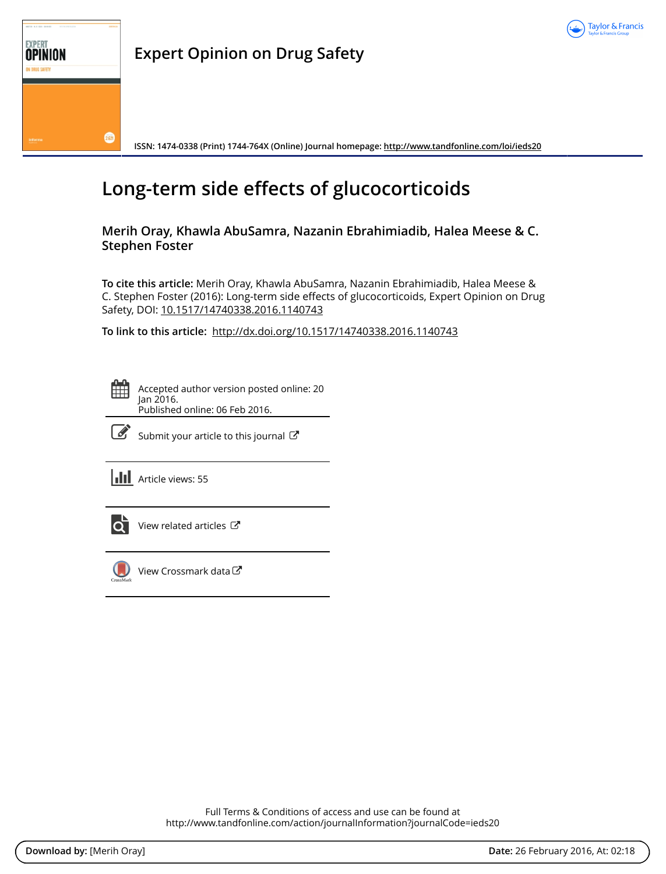



**Expert Opinion on Drug Safety**

**ISSN: 1474-0338 (Print) 1744-764X (Online) Journal homepage: <http://www.tandfonline.com/loi/ieds20>**

# **Long-term side effects of glucocorticoids**

## **Merih Oray, Khawla AbuSamra, Nazanin Ebrahimiadib, Halea Meese & C. Stephen Foster**

**To cite this article:** Merih Oray, Khawla AbuSamra, Nazanin Ebrahimiadib, Halea Meese & C. Stephen Foster (2016): Long-term side effects of glucocorticoids, Expert Opinion on Drug Safety, DOI: [10.1517/14740338.2016.1140743](http://www.tandfonline.com/action/showCitFormats?doi=10.1517/14740338.2016.1140743)

**To link to this article:** <http://dx.doi.org/10.1517/14740338.2016.1140743>



Accepted author version posted online: 20 Jan 2016. Published online: 06 Feb 2016.



 $\overline{\mathscr{L}}$  [Submit your article to this journal](http://www.tandfonline.com/action/authorSubmission?journalCode=ieds20&page=instructions)  $\mathbb{Z}$ 

 $\left\| \cdot \right\|$  Article views: 55



[View related articles](http://www.tandfonline.com/doi/mlt/10.1517/14740338.2016.1140743)  $\mathbb{Z}$ 



[View Crossmark data](http://crossmark.crossref.org/dialog/?doi=10.1517/14740338.2016.1140743&domain=pdf&date_stamp=2016-01-20)<sup>で</sup>

Full Terms & Conditions of access and use can be found at <http://www.tandfonline.com/action/journalInformation?journalCode=ieds20>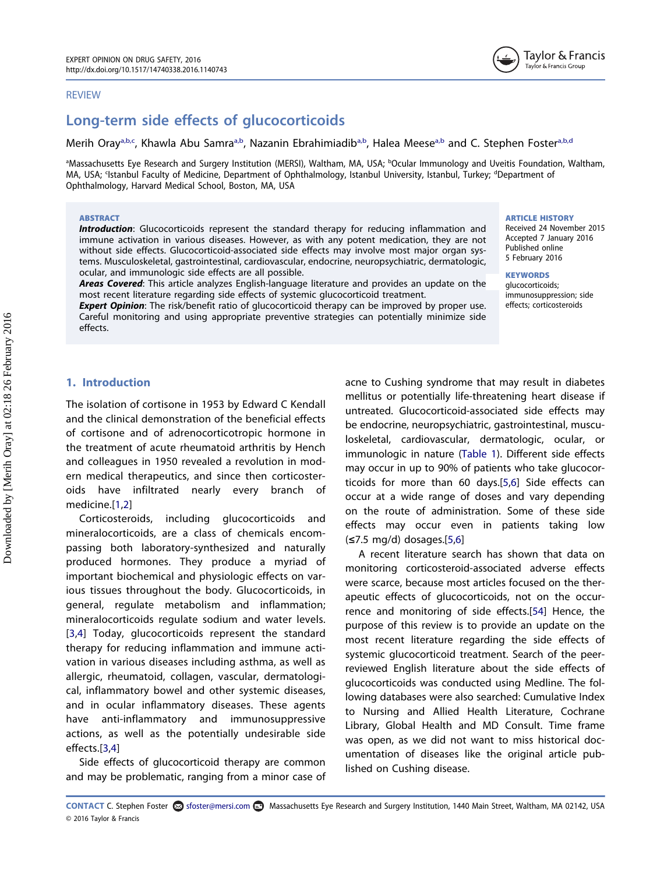#### REVIEW

# Long-term side effects of glucocorticoids

Merih Oray<sup>[a,b](#page-1-0),c</sup>, Khawla Abu Samra<sup>a,b</sup>, Nazanin Ebrahimiadib<sup>a,b</sup>, Halea Meese<sup>a,b</sup> and C. Stephen Foster<sup>a,b[,d](#page-1-1)</sup>

<span id="page-1-1"></span><span id="page-1-0"></span><sup>a</sup>Massachusetts Eye Research and Surgery Institution (MERSI), Waltham, MA, USA; <sup>b</sup>Ocular Immunology and Uveitis Foundation, Waltham, MA, USA; <sup>c</sup>Istanbul Faculty of Medicine, Department of Ophthalmology, Istanbul University, Istanbul, Turkey; <sup>d</sup>Department of Ophthalmology, Harvard Medical School, Boston, MA, USA

#### ABSTRACT

**Introduction**: Glucocorticoids represent the standard therapy for reducing inflammation and immune activation in various diseases. However, as with any potent medication, they are not without side effects. Glucocorticoid-associated side effects may involve most major organ systems. Musculoskeletal, gastrointestinal, cardiovascular, endocrine, neuropsychiatric, dermatologic, ocular, and immunologic side effects are all possible.

Areas Covered: This article analyzes English-language literature and provides an update on the most recent literature regarding side effects of systemic glucocorticoid treatment.

**Expert Opinion**: The risk/benefit ratio of glucocorticoid therapy can be improved by proper use. Careful monitoring and using appropriate preventive strategies can potentially minimize side effects.

#### ARTICLE HISTORY

Received 24 November 2015 Accepted 7 January 2016 Published online 5 February 2016

**KEYWORDS** glucocorticoids; immunosuppression; side effects; corticosteroids

## 1. Introduction

The isolation of cortisone in 1953 by Edward C Kendall and the clinical demonstration of the beneficial effects of cortisone and of adrenocorticotropic hormone in the treatment of acute rheumatoid arthritis by Hench and colleagues in 1950 revealed a revolution in modern medical therapeutics, and since then corticosteroids have infiltrated nearly every branch of medicine.[[1,](#page-7-0)[2](#page-7-1)]

<span id="page-1-2"></span>Corticosteroids, including glucocorticoids and mineralocorticoids, are a class of chemicals encompassing both laboratory-synthesized and naturally produced hormones. They produce a myriad of important biochemical and physiologic effects on various tissues throughout the body. Glucocorticoids, in general, regulate metabolism and inflammation; mineralocorticoids regulate sodium and water levels. [[3](#page-7-2)[,4\]](#page-7-3) Today, glucocorticoids represent the standard therapy for reducing inflammation and immune activation in various diseases including asthma, as well as allergic, rheumatoid, collagen, vascular, dermatological, inflammatory bowel and other systemic diseases, and in ocular inflammatory diseases. These agents have anti-inflammatory and immunosuppressive actions, as well as the potentially undesirable side effects.[\[3,](#page-7-2)[4](#page-7-3)]

<span id="page-1-3"></span>Side effects of glucocorticoid therapy are common and may be problematic, ranging from a minor case of acne to Cushing syndrome that may result in diabetes mellitus or potentially life-threatening heart disease if untreated. Glucocorticoid-associated side effects may be endocrine, neuropsychiatric, gastrointestinal, musculoskeletal, cardiovascular, dermatologic, ocular, or immunologic in nature [\(Table 1](#page-2-0)). Different side effects may occur in up to 90% of patients who take glucocorticoids for more than 60 days.[[5](#page-7-4)[,6](#page-7-5)] Side effects can occur at a wide range of doses and vary depending on the route of administration. Some of these side effects may occur even in patients taking low (≤7.5 mg/d) dosages.[[5,](#page-7-4)[6](#page-7-5)]

<span id="page-1-5"></span><span id="page-1-4"></span>A recent literature search has shown that data on monitoring corticosteroid-associated adverse effects were scarce, because most articles focused on the therapeutic effects of glucocorticoids, not on the occurrence and monitoring of side effects.[[54\]](#page-9-0) Hence, the purpose of this review is to provide an update on the most recent literature regarding the side effects of systemic glucocorticoid treatment. Search of the peerreviewed English literature about the side effects of glucocorticoids was conducted using Medline. The following databases were also searched: Cumulative Index to Nursing and Allied Health Literature, Cochrane Library, Global Health and MD Consult. Time frame was open, as we did not want to miss historical documentation of diseases like the original article published on Cushing disease.

CONTACT C. Stephen Foster Sofoster@mersi.com **B** Massachusetts Eye Research and Surgery Institution, 1440 Main Street, Waltham, MA 02142, USA © 2016 Taylor & Francis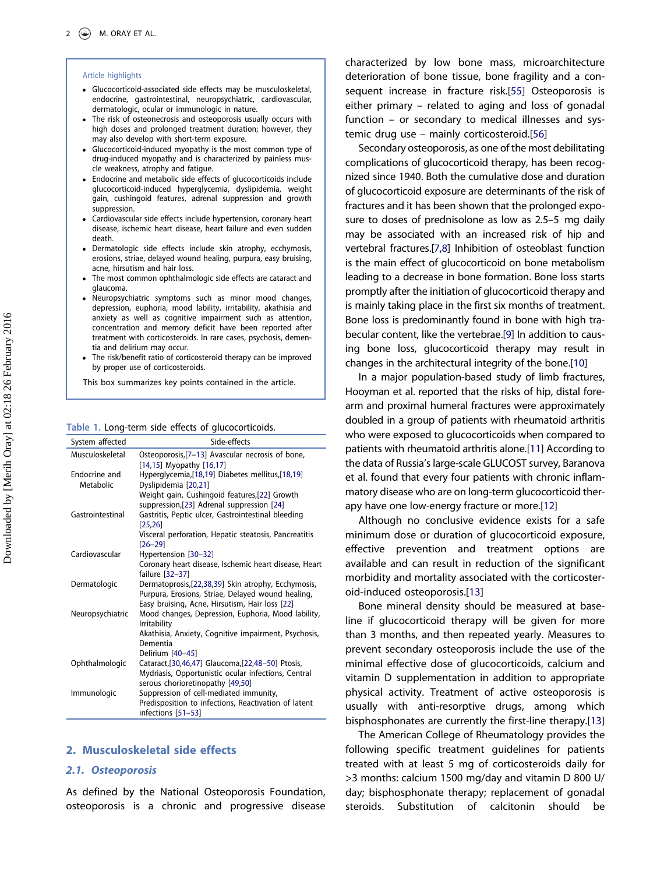#### Article highlights

- Glucocorticoid-associated side effects may be musculoskeletal, endocrine, gastrointestinal, neuropsychiatric, cardiovascular, dermatologic, ocular or immunologic in nature.
- The risk of osteonecrosis and osteoporosis usually occurs with high doses and prolonged treatment duration; however, they may also develop with short-term exposure.
- Glucocorticoid-induced myopathy is the most common type of drug-induced myopathy and is characterized by painless muscle weakness, atrophy and fatigue.
- Endocrine and metabolic side effects of glucocorticoids include glucocorticoid-induced hyperglycemia, dyslipidemia, weight gain, cushingoid features, adrenal suppression and growth suppression.
- Cardiovascular side effects include hypertension, coronary heart disease, ischemic heart disease, heart failure and even sudden death.
- Dermatologic side effects include skin atrophy, ecchymosis, erosions, striae, delayed wound healing, purpura, easy bruising, acne, hirsutism and hair loss.
- The most common ophthalmologic side effects are cataract and glaucoma.
- Neuropsychiatric symptoms such as minor mood changes, depression, euphoria, mood lability, irritability, akathisia and anxiety as well as cognitive impairment such as attention, concentration and memory deficit have been reported after treatment with corticosteroids. In rare cases, psychosis, dementia and delirium may occur.
- The risk/benefit ratio of corticosteroid therapy can be improved by proper use of corticosteroids.

This box summarizes key points contained in the article.

<span id="page-2-0"></span>

|  |  | Table 1. Long-term side effects of glucocorticoids. |  |  |
|--|--|-----------------------------------------------------|--|--|
|--|--|-----------------------------------------------------|--|--|

<span id="page-2-15"></span><span id="page-2-14"></span><span id="page-2-13"></span><span id="page-2-12"></span><span id="page-2-11"></span><span id="page-2-9"></span><span id="page-2-8"></span><span id="page-2-7"></span><span id="page-2-1"></span>

| System affected            | Side-effects                                                                                                                                               |
|----------------------------|------------------------------------------------------------------------------------------------------------------------------------------------------------|
| Musculoskeletal            | Osteoporosis, [7–13] Avascular necrosis of bone,<br>[14,15] Myopathy [16,17]                                                                               |
| Endocrine and<br>Metabolic | Hyperglycemia,[18,19] Diabetes mellitus,[18,19]<br>Dyslipidemia [20,21]                                                                                    |
|                            | Weight gain, Cushingoid features,[22] Growth<br>suppression,[23] Adrenal suppression [24]                                                                  |
| Gastrointestinal           | Gastritis, Peptic ulcer, Gastrointestinal bleeding<br>[25, 26]                                                                                             |
|                            | Visceral perforation, Hepatic steatosis, Pancreatitis<br>$[26 - 29]$                                                                                       |
| Cardiovascular             | Hypertension [30-32]                                                                                                                                       |
|                            | Coronary heart disease, Ischemic heart disease, Heart<br>failure [32-37]                                                                                   |
| Dermatologic               | Dermatoprosis, [22,38,39] Skin atrophy, Ecchymosis,<br>Purpura, Erosions, Striae, Delayed wound healing,<br>Easy bruising, Acne, Hirsutism, Hair loss [22] |
| Neuropsychiatric           | Mood changes, Depression, Euphoria, Mood lability,<br>Irritability                                                                                         |
|                            | Akathisia, Anxiety, Cognitive impairment, Psychosis,<br>Dementia                                                                                           |
|                            | Delirium [40-45]                                                                                                                                           |
| Ophthalmologic             | Cataract,[30,46,47] Glaucoma,[22,48-50] Ptosis,<br>Mydriasis, Opportunistic ocular infections, Central<br>serous chorioretinopathy [49,50]                 |
| Immunologic                | Suppression of cell-mediated immunity,<br>Predisposition to infections, Reactivation of latent<br>infections [51-53]                                       |

## <span id="page-2-18"></span><span id="page-2-17"></span><span id="page-2-16"></span><span id="page-2-10"></span>2. Musculoskeletal side effects

## 2.1. Osteoporosis

As defined by the National Osteoporosis Foundation, osteoporosis is a chronic and progressive disease <span id="page-2-19"></span>characterized by low bone mass, microarchitecture deterioration of bone tissue, bone fragility and a consequent increase in fracture risk.[\[55](#page-9-1)] Osteoporosis is either primary – related to aging and loss of gonadal function – or secondary to medical illnesses and systemic drug use – mainly corticosteroid.[\[56](#page-9-2)]

<span id="page-2-20"></span><span id="page-2-2"></span>Secondary osteoporosis, as one of the most debilitating complications of glucocorticoid therapy, has been recognized since 1940. Both the cumulative dose and duration of glucocorticoid exposure are determinants of the risk of fractures and it has been shown that the prolonged exposure to doses of prednisolone as low as 2.5–5 mg daily may be associated with an increased risk of hip and vertebral fractures.[\[7](#page-7-6)[,8](#page-7-7)] Inhibition of osteoblast function is the main effect of glucocorticoid on bone metabolism leading to a decrease in bone formation. Bone loss starts promptly after the initiation of glucocorticoid therapy and is mainly taking place in the first six months of treatment. Bone loss is predominantly found in bone with high trabecular content, like the vertebrae.[\[9](#page-7-8)] In addition to causing bone loss, glucocorticoid therapy may result in changes in the architectural integrity of the bone.[[10\]](#page-7-9)

<span id="page-2-5"></span><span id="page-2-4"></span><span id="page-2-3"></span>In a major population-based study of limb fractures, Hooyman et al. reported that the risks of hip, distal forearm and proximal humeral fractures were approximately doubled in a group of patients with rheumatoid arthritis who were exposed to glucocorticoids when compared to patients with rheumatoid arthritis alone.[\[11](#page-7-10)] According to the data of Russia's large-scale GLUCOST survey, Baranova et al. found that every four patients with chronic inflammatory disease who are on long-term glucocorticoid therapy have one low-energy fracture or more.[[12\]](#page-7-11)

<span id="page-2-6"></span>Although no conclusive evidence exists for a safe minimum dose or duration of glucocorticoid exposure, effective prevention and treatment options are available and can result in reduction of the significant morbidity and mortality associated with the corticosteroid-induced osteoporosis.[\[13](#page-8-0)]

Bone mineral density should be measured at baseline if glucocorticoid therapy will be given for more than 3 months, and then repeated yearly. Measures to prevent secondary osteoporosis include the use of the minimal effective dose of glucocorticoids, calcium and vitamin D supplementation in addition to appropriate physical activity. Treatment of active osteoporosis is usually with anti-resorptive drugs, among which bisphosphonates are currently the first-line therapy.[\[13\]](#page-8-0)

The American College of Rheumatology provides the following specific treatment guidelines for patients treated with at least 5 mg of corticosteroids daily for >3 months: calcium 1500 mg/day and vitamin D 800 U/ day; bisphosphonate therapy; replacement of gonadal steroids. Substitution of calcitonin should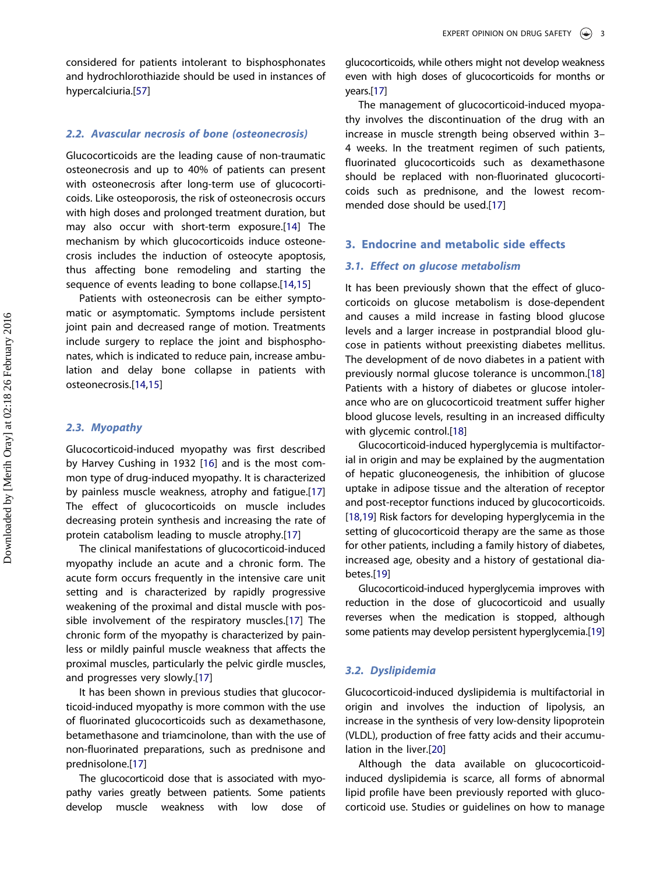<span id="page-3-0"></span>considered for patients intolerant to bisphosphonates and hydrochlorothiazide should be used in instances of hypercalciuria.[[57\]](#page-9-10)

## 2.2. Avascular necrosis of bone (osteonecrosis)

Glucocorticoids are the leading cause of non-traumatic osteonecrosis and up to 40% of patients can present with osteonecrosis after long-term use of glucocorticoids. Like osteoporosis, the risk of osteonecrosis occurs with high doses and prolonged treatment duration, but may also occur with short-term exposure.[[14](#page-8-1)] The mechanism by which glucocorticoids induce osteonecrosis includes the induction of osteocyte apoptosis, thus affecting bone remodeling and starting the sequence of events leading to bone collapse.[[14](#page-8-1)[,15\]](#page-8-2)

Patients with osteonecrosis can be either symptomatic or asymptomatic. Symptoms include persistent joint pain and decreased range of motion. Treatments include surgery to replace the joint and bisphosphonates, which is indicated to reduce pain, increase ambulation and delay bone collapse in patients with osteonecrosis.[\[14](#page-8-1),[15\]](#page-8-2)

## 2.3. Myopathy

Glucocorticoid-induced myopathy was first described by Harvey Cushing in 1932 [[16\]](#page-8-3) and is the most common type of drug-induced myopathy. It is characterized by painless muscle weakness, atrophy and fatigue.[[17\]](#page-8-4) The effect of glucocorticoids on muscle includes decreasing protein synthesis and increasing the rate of protein catabolism leading to muscle atrophy.[\[17\]](#page-8-4)

The clinical manifestations of glucocorticoid-induced myopathy include an acute and a chronic form. The acute form occurs frequently in the intensive care unit setting and is characterized by rapidly progressive weakening of the proximal and distal muscle with possible involvement of the respiratory muscles.[\[17](#page-8-4)] The chronic form of the myopathy is characterized by painless or mildly painful muscle weakness that affects the proximal muscles, particularly the pelvic girdle muscles, and progresses very slowly.[\[17](#page-8-4)]

It has been shown in previous studies that glucocorticoid-induced myopathy is more common with the use of fluorinated glucocorticoids such as dexamethasone, betamethasone and triamcinolone, than with the use of non-fluorinated preparations, such as prednisone and prednisolone.[\[17\]](#page-8-4)

The glucocorticoid dose that is associated with myopathy varies greatly between patients. Some patients develop muscle weakness with low dose of glucocorticoids, while others might not develop weakness even with high doses of glucocorticoids for months or years.[\[17](#page-8-4)]

The management of glucocorticoid-induced myopathy involves the discontinuation of the drug with an increase in muscle strength being observed within 3– 4 weeks. In the treatment regimen of such patients, fluorinated glucocorticoids such as dexamethasone should be replaced with non-fluorinated glucocorticoids such as prednisone, and the lowest recommended dose should be used.[\[17\]](#page-8-4)

## 3. Endocrine and metabolic side effects

## 3.1. Effect on glucose metabolism

It has been previously shown that the effect of glucocorticoids on glucose metabolism is dose-dependent and causes a mild increase in fasting blood glucose levels and a larger increase in postprandial blood glucose in patients without preexisting diabetes mellitus. The development of de novo diabetes in a patient with previously normal glucose tolerance is uncommon.[\[18\]](#page-8-5) Patients with a history of diabetes or glucose intolerance who are on glucocorticoid treatment suffer higher blood glucose levels, resulting in an increased difficulty with glycemic control.[\[18](#page-8-5)]

Glucocorticoid-induced hyperglycemia is multifactorial in origin and may be explained by the augmentation of hepatic gluconeogenesis, the inhibition of glucose uptake in adipose tissue and the alteration of receptor and post-receptor functions induced by glucocorticoids. [[18,](#page-8-5)[19](#page-8-6)] Risk factors for developing hyperglycemia in the setting of glucocorticoid therapy are the same as those for other patients, including a family history of diabetes, increased age, obesity and a history of gestational diabetes.[[19\]](#page-8-6)

Glucocorticoid-induced hyperglycemia improves with reduction in the dose of glucocorticoid and usually reverses when the medication is stopped, although some patients may develop persistent hyperglycemia.[[19\]](#page-8-6)

## 3.2. Dyslipidemia

Glucocorticoid-induced dyslipidemia is multifactorial in origin and involves the induction of lipolysis, an increase in the synthesis of very low-density lipoprotein (VLDL), production of free fatty acids and their accumulation in the liver.[[20](#page-8-7)]

Although the data available on glucocorticoidinduced dyslipidemia is scarce, all forms of abnormal lipid profile have been previously reported with glucocorticoid use. Studies or guidelines on how to manage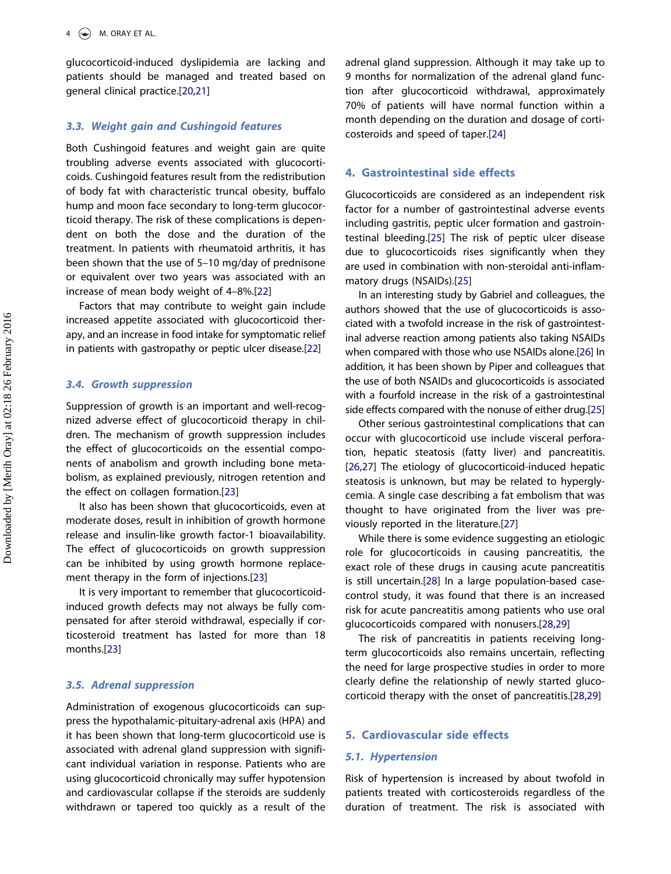glucocorticoid-induced dyslipidemia are lacking and patients should be managed and treated based on general clinical practice.[\[20,](#page-8-7)[21\]](#page-8-8)

#### 3.3. Weight gain and Cushingoid features

Both Cushingoid features and weight gain are quite troubling adverse events associated with glucocorticoids. Cushingoid features result from the redistribution of body fat with characteristic truncal obesity, buffalo hump and moon face secondary to long-term glucocorticoid therapy. The risk of these complications is dependent on both the dose and the duration of the treatment. In patients with rheumatoid arthritis, it has been shown that the use of 5–10 mg/day of prednisone or equivalent over two years was associated with an increase of mean body weight of 4–8%.[[22\]](#page-8-9)

Factors that may contribute to weight gain include increased appetite associated with glucocorticoid therapy, and an increase in food intake for symptomatic relief in patients with gastropathy or peptic ulcer disease.[[22\]](#page-8-9)

## 3.4. Growth suppression

Suppression of growth is an important and well-recognized adverse effect of glucocorticoid therapy in children. The mechanism of growth suppression includes the effect of glucocorticoids on the essential components of anabolism and growth including bone metabolism, as explained previously, nitrogen retention and the effect on collagen formation.[[23](#page-8-10)]

It also has been shown that glucocorticoids, even at moderate doses, result in inhibition of growth hormone release and insulin-like growth factor-1 bioavailability. The effect of glucocorticoids on growth suppression can be inhibited by using growth hormone replacement therapy in the form of injections.[[23](#page-8-10)]

It is very important to remember that glucocorticoidinduced growth defects may not always be fully compensated for after steroid withdrawal, especially if corticosteroid treatment has lasted for more than 18 months.[\[23](#page-8-10)]

#### 3.5. Adrenal suppression

Administration of exogenous glucocorticoids can suppress the hypothalamic-pituitary-adrenal axis (HPA) and it has been shown that long-term glucocorticoid use is associated with adrenal gland suppression with significant individual variation in response. Patients who are using glucocorticoid chronically may suffer hypotension and cardiovascular collapse if the steroids are suddenly withdrawn or tapered too quickly as a result of the

adrenal gland suppression. Although it may take up to 9 months for normalization of the adrenal gland function after glucocorticoid withdrawal, approximately 70% of patients will have normal function within a month depending on the duration and dosage of corticosteroids and speed of taper.[[24\]](#page-8-11)

## 4. Gastrointestinal side effects

Glucocorticoids are considered as an independent risk factor for a number of gastrointestinal adverse events including gastritis, peptic ulcer formation and gastrointestinal bleeding.[\[25\]](#page-8-12) The risk of peptic ulcer disease due to glucocorticoids rises significantly when they are used in combination with non-steroidal anti-inflammatory drugs (NSAIDs).[\[25\]](#page-8-12)

In an interesting study by Gabriel and colleagues, the authors showed that the use of glucocorticoids is associated with a twofold increase in the risk of gastrointestinal adverse reaction among patients also taking NSAIDs when compared with those who use NSAIDs alone.[\[26](#page-8-13)] In addition, it has been shown by Piper and colleagues that the use of both NSAIDs and glucocorticoids is associated with a fourfold increase in the risk of a gastrointestinal side effects compared with the nonuse of either drug.[[25\]](#page-8-12)

Other serious gastrointestinal complications that can occur with glucocorticoid use include visceral perforation, hepatic steatosis (fatty liver) and pancreatitis. [[26,](#page-8-13)[27](#page-8-22)] The etiology of glucocorticoid-induced hepatic steatosis is unknown, but may be related to hyperglycemia. A single case describing a fat embolism that was thought to have originated from the liver was previously reported in the literature.[[27\]](#page-8-22)

<span id="page-4-0"></span>While there is some evidence suggesting an etiologic role for glucocorticoids in causing pancreatitis, the exact role of these drugs in causing acute pancreatitis is still uncertain.[[28](#page-8-23)] In a large population-based casecontrol study, it was found that there is an increased risk for acute pancreatitis among patients who use oral glucocorticoids compared with nonusers.[\[28,](#page-8-23)[29](#page-8-14)]

The risk of pancreatitis in patients receiving longterm glucocorticoids also remains uncertain, reflecting the need for large prospective studies in order to more clearly define the relationship of newly started glucocorticoid therapy with the onset of pancreatitis.[[28](#page-8-23)[,29](#page-8-14)]

## <span id="page-4-1"></span>5. Cardiovascular side effects

#### 5.1. Hypertension

Risk of hypertension is increased by about twofold in patients treated with corticosteroids regardless of the duration of treatment. The risk is associated with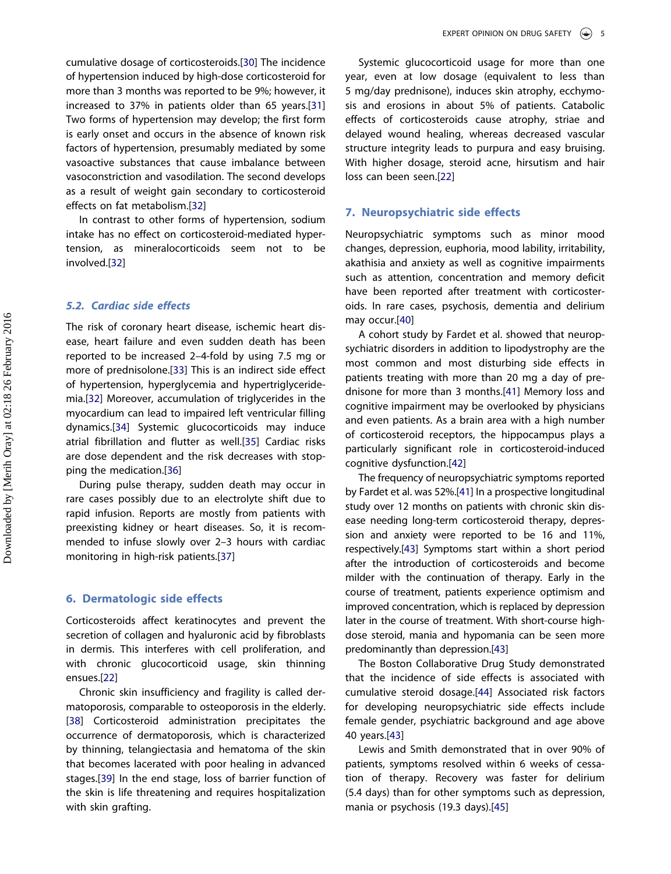<span id="page-5-0"></span>cumulative dosage of corticosteroids.[[30](#page-8-15)] The incidence of hypertension induced by high-dose corticosteroid for more than 3 months was reported to be 9%; however, it increased to 37% in patients older than 65 years.[[31\]](#page-8-24) Two forms of hypertension may develop; the first form is early onset and occurs in the absence of known risk factors of hypertension, presumably mediated by some vasoactive substances that cause imbalance between vasoconstriction and vasodilation. The second develops as a result of weight gain secondary to corticosteroid effects on fat metabolism.[\[32](#page-8-16)]

In contrast to other forms of hypertension, sodium intake has no effect on corticosteroid-mediated hypertension, as mineralocorticoids seem not to be involved.[[32](#page-8-16)]

## 5.2. Cardiac side effects

<span id="page-5-1"></span>The risk of coronary heart disease, ischemic heart disease, heart failure and even sudden death has been reported to be increased 2–4-fold by using 7.5 mg or more of prednisolone.[\[33\]](#page-8-25) This is an indirect side effect of hypertension, hyperglycemia and hypertriglyceridemia.[\[32\]](#page-8-16) Moreover, accumulation of triglycerides in the myocardium can lead to impaired left ventricular filling dynamics.[[34](#page-8-26)] Systemic glucocorticoids may induce atrial fibrillation and flutter as well.[[35\]](#page-8-27) Cardiac risks are dose dependent and the risk decreases with stopping the medication.[[36](#page-8-28)]

<span id="page-5-4"></span><span id="page-5-3"></span><span id="page-5-2"></span>During pulse therapy, sudden death may occur in rare cases possibly due to an electrolyte shift due to rapid infusion. Reports are mostly from patients with preexisting kidney or heart diseases. So, it is recommended to infuse slowly over 2–3 hours with cardiac monitoring in high-risk patients.[\[37\]](#page-8-17)

#### 6. Dermatologic side effects

Corticosteroids affect keratinocytes and prevent the secretion of collagen and hyaluronic acid by fibroblasts in dermis. This interferes with cell proliferation, and with chronic glucocorticoid usage, skin thinning ensues.[[22](#page-8-9)]

Chronic skin insufficiency and fragility is called dermatoporosis, comparable to osteoporosis in the elderly. [[38](#page-8-18)] Corticosteroid administration precipitates the occurrence of dermatoporosis, which is characterized by thinning, telangiectasia and hematoma of the skin that becomes lacerated with poor healing in advanced stages.[[39\]](#page-8-19) In the end stage, loss of barrier function of the skin is life threatening and requires hospitalization with skin grafting.

Systemic glucocorticoid usage for more than one year, even at low dosage (equivalent to less than 5 mg/day prednisone), induces skin atrophy, ecchymosis and erosions in about 5% of patients. Catabolic effects of corticosteroids cause atrophy, striae and delayed wound healing, whereas decreased vascular structure integrity leads to purpura and easy bruising. With higher dosage, steroid acne, hirsutism and hair loss can been seen.[[22](#page-8-9)]

#### 7. Neuropsychiatric side effects

Neuropsychiatric symptoms such as minor mood changes, depression, euphoria, mood lability, irritability, akathisia and anxiety as well as cognitive impairments such as attention, concentration and memory deficit have been reported after treatment with corticosteroids. In rare cases, psychosis, dementia and delirium may occur.[\[40](#page-8-20)]

A cohort study by Fardet et al. showed that neuropsychiatric disorders in addition to lipodystrophy are the most common and most disturbing side effects in patients treating with more than 20 mg a day of prednisone for more than 3 months.[\[41\]](#page-8-29) Memory loss and cognitive impairment may be overlooked by physicians and even patients. As a brain area with a high number of corticosteroid receptors, the hippocampus plays a particularly significant role in corticosteroid-induced cognitive dysfunction.[\[42\]](#page-8-30)

<span id="page-5-6"></span><span id="page-5-5"></span>The frequency of neuropsychiatric symptoms reported by Fardet et al. was 52%.[\[41](#page-8-29)] In a prospective longitudinal study over 12 months on patients with chronic skin disease needing long-term corticosteroid therapy, depression and anxiety were reported to be 16 and 11%, respectively.[\[43](#page-8-31)] Symptoms start within a short period after the introduction of corticosteroids and become milder with the continuation of therapy. Early in the course of treatment, patients experience optimism and improved concentration, which is replaced by depression later in the course of treatment. With short-course highdose steroid, mania and hypomania can be seen more predominantly than depression.[\[43](#page-8-31)]

<span id="page-5-8"></span>The Boston Collaborative Drug Study demonstrated that the incidence of side effects is associated with cumulative steroid dosage.[\[44\]](#page-8-32) Associated risk factors for developing neuropsychiatric side effects include female gender, psychiatric background and age above 40 years.[[43](#page-8-31)]

<span id="page-5-7"></span>Lewis and Smith demonstrated that in over 90% of patients, symptoms resolved within 6 weeks of cessation of therapy. Recovery was faster for delirium (5.4 days) than for other symptoms such as depression, mania or psychosis (19.3 days).[[45](#page-8-21)]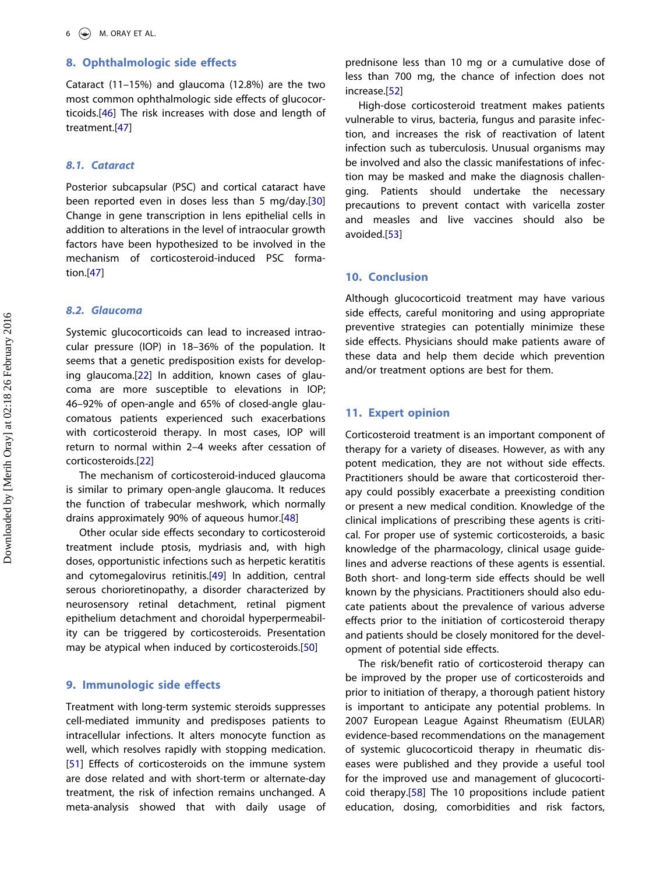## 8. Ophthalmologic side effects

Cataract (11–15%) and glaucoma (12.8%) are the two most common ophthalmologic side effects of glucocorticoids.[\[46\]](#page-9-3) The risk increases with dose and length of treatment.[[47](#page-9-4)]

## 8.1. Cataract

Posterior subcapsular (PSC) and cortical cataract have been reported even in doses less than 5 mg/day.[[30\]](#page-8-15) Change in gene transcription in lens epithelial cells in addition to alterations in the level of intraocular growth factors have been hypothesized to be involved in the mechanism of corticosteroid-induced PSC formation.[[47\]](#page-9-4)

## 8.2. Glaucoma

Systemic glucocorticoids can lead to increased intraocular pressure (IOP) in 18–36% of the population. It seems that a genetic predisposition exists for developing glaucoma.[\[22](#page-8-9)] In addition, known cases of glaucoma are more susceptible to elevations in IOP; 46–92% of open-angle and 65% of closed-angle glaucomatous patients experienced such exacerbations with corticosteroid therapy. In most cases, IOP will return to normal within 2–4 weeks after cessation of corticosteroids.[[22](#page-8-9)]

The mechanism of corticosteroid-induced glaucoma is similar to primary open-angle glaucoma. It reduces the function of trabecular meshwork, which normally drains approximately 90% of aqueous humor.[\[48](#page-9-5)]

Other ocular side effects secondary to corticosteroid treatment include ptosis, mydriasis and, with high doses, opportunistic infections such as herpetic keratitis and cytomegalovirus retinitis.[[49\]](#page-9-7) In addition, central serous chorioretinopathy, a disorder characterized by neurosensory retinal detachment, retinal pigment epithelium detachment and choroidal hyperpermeability can be triggered by corticosteroids. Presentation may be atypical when induced by corticosteroids.[[50\]](#page-9-6)

## 9. Immunologic side effects

Treatment with long-term systemic steroids suppresses cell-mediated immunity and predisposes patients to intracellular infections. It alters monocyte function as well, which resolves rapidly with stopping medication. [[51](#page-9-8)] Effects of corticosteroids on the immune system are dose related and with short-term or alternate-day treatment, the risk of infection remains unchanged. A meta-analysis showed that with daily usage of

prednisone less than 10 mg or a cumulative dose of less than 700 mg, the chance of infection does not increase.[\[52](#page-9-11)]

<span id="page-6-0"></span>High-dose corticosteroid treatment makes patients vulnerable to virus, bacteria, fungus and parasite infection, and increases the risk of reactivation of latent infection such as tuberculosis. Unusual organisms may be involved and also the classic manifestations of infection may be masked and make the diagnosis challenging. Patients should undertake the necessary precautions to prevent contact with varicella zoster and measles and live vaccines should also be avoided.[\[53\]](#page-9-9)

#### 10. Conclusion

Although glucocorticoid treatment may have various side effects, careful monitoring and using appropriate preventive strategies can potentially minimize these side effects. Physicians should make patients aware of these data and help them decide which prevention and/or treatment options are best for them.

## 11. Expert opinion

Corticosteroid treatment is an important component of therapy for a variety of diseases. However, as with any potent medication, they are not without side effects. Practitioners should be aware that corticosteroid therapy could possibly exacerbate a preexisting condition or present a new medical condition. Knowledge of the clinical implications of prescribing these agents is critical. For proper use of systemic corticosteroids, a basic knowledge of the pharmacology, clinical usage guidelines and adverse reactions of these agents is essential. Both short- and long-term side effects should be well known by the physicians. Practitioners should also educate patients about the prevalence of various adverse effects prior to the initiation of corticosteroid therapy and patients should be closely monitored for the development of potential side effects.

<span id="page-6-1"></span>The risk/benefit ratio of corticosteroid therapy can be improved by the proper use of corticosteroids and prior to initiation of therapy, a thorough patient history is important to anticipate any potential problems. In 2007 European League Against Rheumatism (EULAR) evidence-based recommendations on the management of systemic glucocorticoid therapy in rheumatic diseases were published and they provide a useful tool for the improved use and management of glucocorticoid therapy.[[58\]](#page-9-12) The 10 propositions include patient education, dosing, comorbidities and risk factors,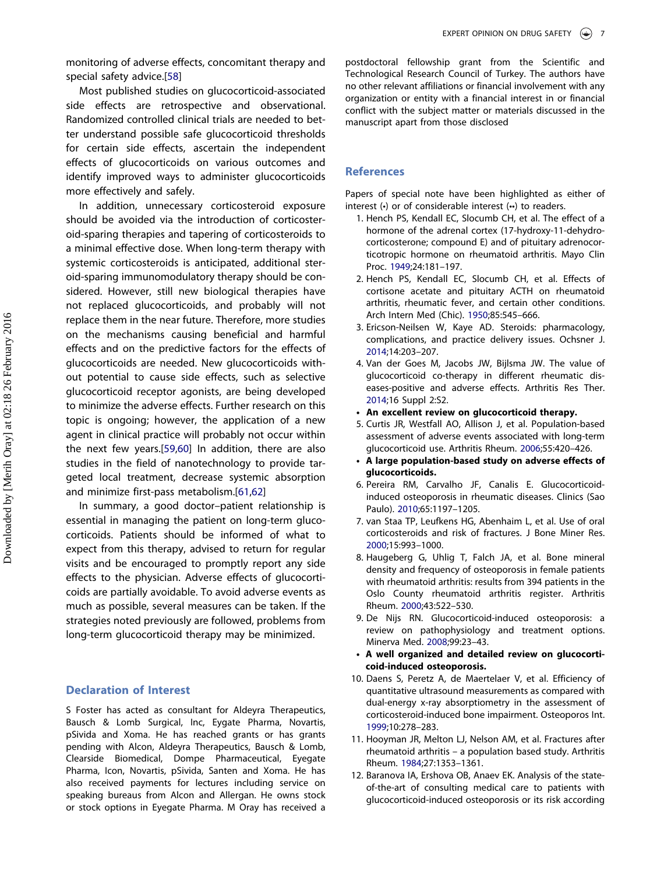monitoring of adverse effects, concomitant therapy and special safety advice.[[58](#page-9-12)]

Most published studies on glucocorticoid-associated side effects are retrospective and observational. Randomized controlled clinical trials are needed to better understand possible safe glucocorticoid thresholds for certain side effects, ascertain the independent effects of glucocorticoids on various outcomes and identify improved ways to administer glucocorticoids more effectively and safely.

In addition, unnecessary corticosteroid exposure should be avoided via the introduction of corticosteroid-sparing therapies and tapering of corticosteroids to a minimal effective dose. When long-term therapy with systemic corticosteroids is anticipated, additional steroid-sparing immunomodulatory therapy should be considered. However, still new biological therapies have not replaced glucocorticoids, and probably will not replace them in the near future. Therefore, more studies on the mechanisms causing beneficial and harmful effects and on the predictive factors for the effects of glucocorticoids are needed. New glucocorticoids without potential to cause side effects, such as selective glucocorticoid receptor agonists, are being developed to minimize the adverse effects. Further research on this topic is ongoing; however, the application of a new agent in clinical practice will probably not occur within the next few years.[[59](#page-9-13)[,60\]](#page-9-14) In addition, there are also studies in the field of nanotechnology to provide targeted local treatment, decrease systemic absorption and minimize first-pass metabolism.[\[61,](#page-9-15)[62\]](#page-9-16)

<span id="page-7-13"></span><span id="page-7-12"></span>In summary, a good doctor–patient relationship is essential in managing the patient on long-term glucocorticoids. Patients should be informed of what to expect from this therapy, advised to return for regular visits and be encouraged to promptly report any side effects to the physician. Adverse effects of glucocorticoids are partially avoidable. To avoid adverse events as much as possible, several measures can be taken. If the strategies noted previously are followed, problems from long-term glucocorticoid therapy may be minimized.

#### Declaration of Interest

S Foster has acted as consultant for Aldeyra Therapeutics, Bausch & Lomb Surgical, Inc, Eygate Pharma, Novartis, pSivida and Xoma. He has reached grants or has grants pending with Alcon, Aldeyra Therapeutics, Bausch & Lomb, Clearside Biomedical, Dompe Pharmaceutical, Eyegate Pharma, Icon, Novartis, pSivida, Santen and Xoma. He has also received payments for lectures including service on speaking bureaus from Alcon and Allergan. He owns stock or stock options in Eyegate Pharma. M Oray has received a

postdoctoral fellowship grant from the Scientific and Technological Research Council of Turkey. The authors have no other relevant affiliations or financial involvement with any organization or entity with a financial interest in or financial conflict with the subject matter or materials discussed in the manuscript apart from those disclosed

## References

Papers of special note have been highlighted as either of interest (•) or of considerable interest (••) to readers.

- <span id="page-7-0"></span>1. Hench PS, Kendall EC, Slocumb CH, et al. The effect of a hormone of the adrenal cortex (17-hydroxy-11-dehydrocorticosterone; compound E) and of pituitary adrenocorticotropic hormone on rheumatoid arthritis. Mayo Clin Proc. [1949;](#page-1-2)24:181–197.
- <span id="page-7-1"></span>2. Hench PS, Kendall EC, Slocumb CH, et al. Effects of cortisone acetate and pituitary ACTH on rheumatoid arthritis, rheumatic fever, and certain other conditions. Arch Intern Med (Chic). [1950](#page-1-2);85:545–666.
- <span id="page-7-2"></span>3. Ericson-Neilsen W, Kaye AD. Steroids: pharmacology, complications, and practice delivery issues. Ochsner J. [2014](#page-1-3);14:203–207.
- <span id="page-7-3"></span>4. Van der Goes M, Jacobs JW, Bijlsma JW. The value of glucocorticoid co-therapy in different rheumatic diseases-positive and adverse effects. Arthritis Res Ther. [2014](#page-1-3);16 Suppl 2:S2.
- An excellent review on glucocorticoid therapy.
- <span id="page-7-4"></span>5. Curtis JR, Westfall AO, Allison J, et al. Population-based assessment of adverse events associated with long-term glucocorticoid use. Arthritis Rheum. [2006](#page-1-4);55:420–426.
- A large population-based study on adverse effects of glucocorticoids.
- <span id="page-7-5"></span>6. Pereira RM, Carvalho JF, Canalis E. Glucocorticoidinduced osteoporosis in rheumatic diseases. Clinics (Sao Paulo). [2010;](#page-1-4)65:1197–1205.
- <span id="page-7-6"></span>7. van Staa TP, Leufkens HG, Abenhaim L, et al. Use of oral corticosteroids and risk of fractures. J Bone Miner Res. [2000](#page-2-1);15:993–1000.
- <span id="page-7-7"></span>8. Haugeberg G, Uhlig T, Falch JA, et al. Bone mineral density and frequency of osteoporosis in female patients with rheumatoid arthritis: results from 394 patients in the Oslo County rheumatoid arthritis register. Arthritis Rheum. [2000;](#page-2-2)43:522–530.
- <span id="page-7-8"></span>9. De Nijs RN. Glucocorticoid-induced osteoporosis: a review on pathophysiology and treatment options. Minerva Med. [2008](#page-2-3);99:23–43.
- A well organized and detailed review on glucocorticoid-induced osteoporosis.
- <span id="page-7-9"></span>10. Daens S, Peretz A, de Maertelaer V, et al. Efficiency of quantitative ultrasound measurements as compared with dual-energy x-ray absorptiometry in the assessment of corticosteroid-induced bone impairment. Osteoporos Int. [1999](#page-2-4);10:278–283.
- <span id="page-7-10"></span>11. Hooyman JR, Melton LJ, Nelson AM, et al. Fractures after rheumatoid arthritis – a population based study. Arthritis Rheum. [1984;](#page-2-5)27:1353–1361.
- <span id="page-7-11"></span>12. Baranova IA, Ershova OB, Anaev EK. Analysis of the stateof-the-art of consulting medical care to patients with glucocorticoid-induced osteoporosis or its risk according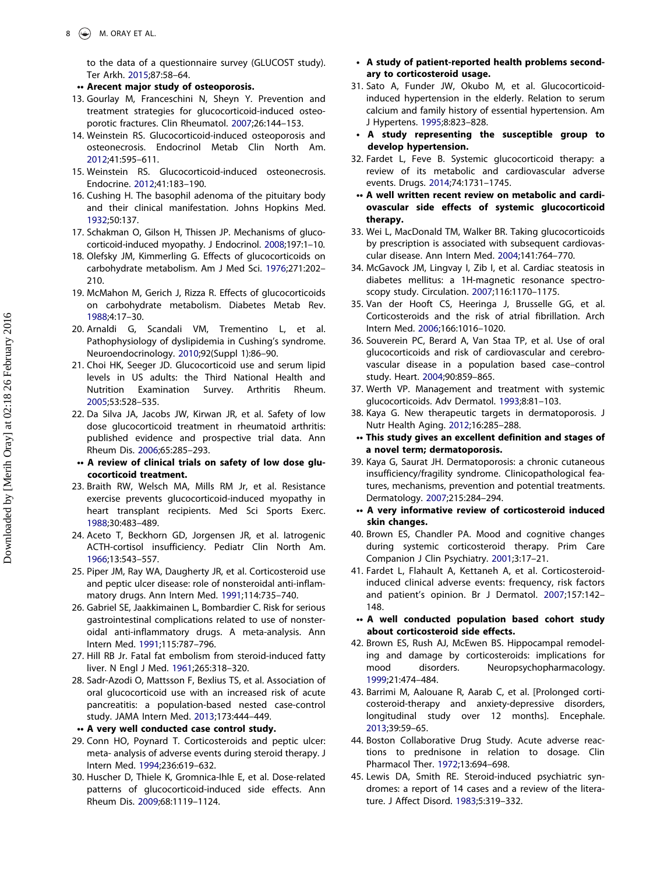to the data of a questionnaire survey (GLUCOST study). Ter Arkh. [2015;](#page-2-6)87:58–64.

#### •• Arecent major study of osteoporosis.

- <span id="page-8-0"></span>13. Gourlay M, Franceschini N, Sheyn Y. Prevention and treatment strategies for glucocorticoid-induced osteoporotic fractures. Clin Rheumatol. [2007;](#page-2-1)26:144–153.
- <span id="page-8-1"></span>14. Weinstein RS. Glucocorticoid-induced osteoporosis and osteonecrosis. Endocrinol Metab Clin North Am. [2012](#page-2-7);41:595–611.
- <span id="page-8-2"></span>15. Weinstein RS. Glucocorticoid-induced osteonecrosis. Endocrine. [2012](#page-2-7);41:183–190.
- <span id="page-8-3"></span>16. Cushing H. The basophil adenoma of the pituitary body and their clinical manifestation. Johns Hopkins Med. [1932](#page-2-7);50:137.
- <span id="page-8-4"></span>17. Schakman O, Gilson H, Thissen JP. Mechanisms of glucocorticoid-induced myopathy. J Endocrinol. [2008](#page-2-7);197:1–10.
- <span id="page-8-5"></span>18. Olefsky JM, Kimmerling G. Effects of glucocorticoids on carbohydrate metabolism. Am J Med Sci. [1976;](#page-2-8)271:202– 210.
- <span id="page-8-6"></span>19. McMahon M, Gerich J, Rizza R. Effects of glucocorticoids on carbohydrate metabolism. Diabetes Metab Rev. [1988](#page-2-8);4:17–30.
- <span id="page-8-7"></span>20. Arnaldi G, Scandali VM, Trementino L, et al. Pathophysiology of dyslipidemia in Cushing's syndrome. Neuroendocrinology. [2010](#page-2-9);92(Suppl 1):86–90.
- <span id="page-8-8"></span>21. Choi HK, Seeger JD. Glucocorticoid use and serum lipid levels in US adults: the Third National Health and Nutrition Examination Survey. Arthritis Rheum. [2005](#page-2-9);53:528–535.
- <span id="page-8-9"></span>22. Da Silva JA, Jacobs JW, Kirwan JR, et al. Safety of low dose glucocorticoid treatment in rheumatoid arthritis: published evidence and prospective trial data. Ann Rheum Dis. [2006;](#page-2-10)65:285–293.
- •• A review of clinical trials on safety of low dose glucocorticoid treatment.
- <span id="page-8-10"></span>23. Braith RW, Welsch MA, Mills RM Jr, et al. Resistance exercise prevents glucocorticoid-induced myopathy in heart transplant recipients. Med Sci Sports Exerc. [1988](#page-2-11);30:483–489.
- <span id="page-8-11"></span>24. Aceto T, Beckhorn GD, Jorgensen JR, et al. Iatrogenic ACTH-cortisol insufficiency. Pediatr Clin North Am. [1966](#page-2-11);13:543–557.
- <span id="page-8-12"></span>25. Piper JM, Ray WA, Daugherty JR, et al. Corticosteroid use and peptic ulcer disease: role of nonsteroidal anti-inflammatory drugs. Ann Intern Med. [1991](#page-2-12);114:735–740.
- <span id="page-8-13"></span>26. Gabriel SE, Jaakkimainen L, Bombardier C. Risk for serious gastrointestinal complications related to use of nonsteroidal anti-inflammatory drugs. A meta-analysis. Ann Intern Med. [1991;](#page-2-13)115:787–796.
- <span id="page-8-22"></span>27. Hill RB Jr. Fatal fat embolism from steroid-induced fatty liver. N Engl J Med. [1961;](#page-4-0)265:318–320.
- <span id="page-8-23"></span>28. Sadr-Azodi O, Mattsson F, Bexlius TS, et al. Association of oral glucocorticoid use with an increased risk of acute pancreatitis: a population-based nested case-control study. JAMA Intern Med. [2013;](#page-4-1)173:444–449.

•• A very well conducted case control study.

- <span id="page-8-14"></span>29. Conn HO, Poynard T. Corticosteroids and peptic ulcer: meta- analysis of adverse events during steroid therapy. J Intern Med. [1994;](#page-2-13)236:619–632.
- <span id="page-8-15"></span>30. Huscher D, Thiele K, Gromnica-Ihle E, et al. Dose-related patterns of glucocorticoid-induced side effects. Ann Rheum Dis. [2009;](#page-2-10)68:1119–1124.
- A study of patient-reported health problems secondary to corticosteroid usage.
- <span id="page-8-24"></span>31. Sato A, Funder JW, Okubo M, et al. Glucocorticoidinduced hypertension in the elderly. Relation to serum calcium and family history of essential hypertension. Am J Hypertens. [1995](#page-5-0);8:823–828.
- A study representing the susceptible group to develop hypertension.
- <span id="page-8-16"></span>32. Fardet L, Feve B. Systemic glucocorticoid therapy: a review of its metabolic and cardiovascular adverse events. Drugs. [2014](#page-2-14);74:1731–1745.
- •• A well written recent review on metabolic and cardiovascular side effects of systemic glucocorticoid therapy.
- <span id="page-8-25"></span>33. Wei L, MacDonald TM, Walker BR. Taking glucocorticoids by prescription is associated with subsequent cardiovascular disease. Ann Intern Med. [2004;](#page-5-1)141:764–770.
- <span id="page-8-26"></span>34. McGavock JM, Lingvay I, Zib I, et al. Cardiac steatosis in diabetes mellitus: a 1H-magnetic resonance spectroscopy study. Circulation. [2007](#page-5-2);116:1170–1175.
- <span id="page-8-27"></span>35. Van der Hooft CS, Heeringa J, Brusselle GG, et al. Corticosteroids and the risk of atrial fibrillation. Arch Intern Med. [2006](#page-5-3);166:1016–1020.
- <span id="page-8-28"></span>36. Souverein PC, Berard A, Van Staa TP, et al. Use of oral glucocorticoids and risk of cardiovascular and cerebrovascular disease in a population based case–control study. Heart. [2004](#page-5-4);90:859–865.
- <span id="page-8-17"></span>37. Werth VP. Management and treatment with systemic glucocorticoids. Adv Dermatol. [1993;](#page-2-14)8:81–103.
- <span id="page-8-18"></span>38. Kaya G. New therapeutic targets in dermatoporosis. J Nutr Health Aging. [2012](#page-2-15);16:285–288.
- •• This study gives an excellent definition and stages of a novel term; dermatoporosis.
- <span id="page-8-19"></span>39. Kaya G, Saurat JH. Dermatoporosis: a chronic cutaneous insufficiency/fragility syndrome. Clinicopathological features, mechanisms, prevention and potential treatments. Dermatology. [2007;](#page-2-15)215:284–294.
- •• A very informative review of corticosteroid induced skin changes.
- <span id="page-8-20"></span>40. Brown ES, Chandler PA. Mood and cognitive changes during systemic corticosteroid therapy. Prim Care Companion J Clin Psychiatry. [2001](#page-2-16);3:17–21.
- <span id="page-8-29"></span>41. Fardet L, Flahault A, Kettaneh A, et al. Corticosteroidinduced clinical adverse events: frequency, risk factors and patient's opinion. Br J Dermatol. [2007;](#page-5-5)157:142– 148.
- •• A well conducted population based cohort study about corticosteroid side effects.
- <span id="page-8-30"></span>42. Brown ES, Rush AJ, McEwen BS. Hippocampal remodeling and damage by corticosteroids: implications for mood disorders. Neuropsychopharmacology. [1999](#page-5-6);21:474–484.
- <span id="page-8-31"></span>43. Barrimi M, Aalouane R, Aarab C, et al. [Prolonged corticosteroid-therapy and anxiety-depressive disorders, longitudinal study over 12 months]. Encephale. [2013](#page-5-7);39:59–65.
- <span id="page-8-32"></span>44. Boston Collaborative Drug Study. Acute adverse reactions to prednisone in relation to dosage. Clin Pharmacol Ther. [1972;](#page-5-8)13:694–698.
- <span id="page-8-21"></span>45. Lewis DA, Smith RE. Steroid-induced psychiatric syndromes: a report of 14 cases and a review of the literature. J Affect Disord. [1983](#page-2-16);5:319–332.